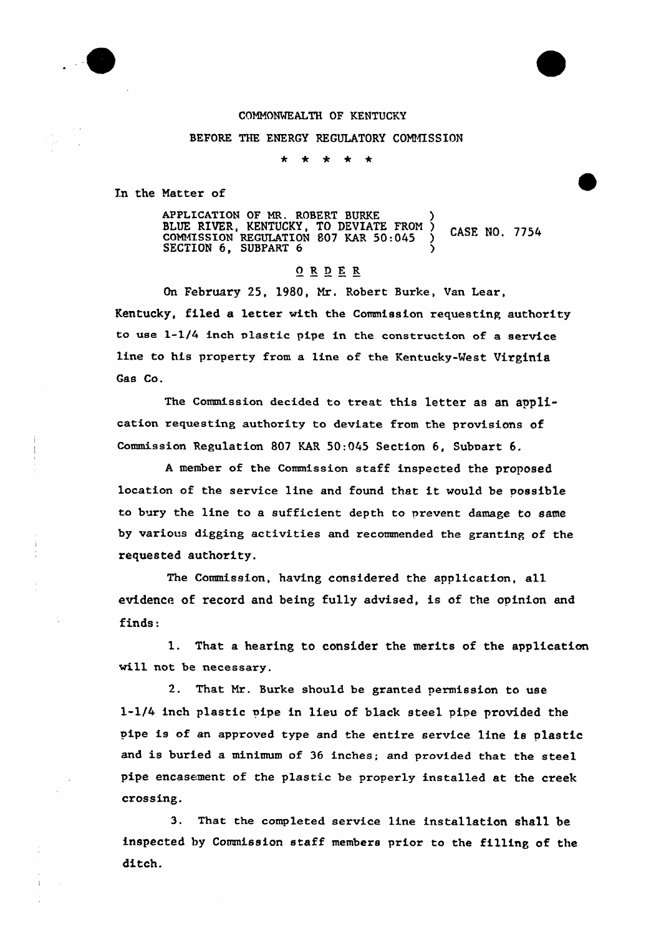

## CONNONWEALTH OF KENTUCKY

BEFORE THE ENERGY REGULATORY COMMISSION

In the Natter of

APPLICATION OF MR. ROBERT BURKE (2008) BLUE RIVER, KENTUCKY, TO DEVIATE FROM )<br>COMMISSION REGULATION 807 KAR 50:045 )<br>SECTION 6 SUBDARTO SECTION  $6$ , SUBPART  $6$  )

## ORDER

On February 25, 1980, Nr. Robert Burke, Van Lear, Kentucky, filed a letter with the Commission requesting authority to use  $1-1/4$  inch plastic pipe in the construction of a service line to his property from a line of the Kentucky-Vest Virginia Gas Co.

The Commission decided to treat this 1etter as an application requesting authority to deviate from the provisions of Commission Regulation 807 KAR 50:045 Section 6, Subpart 6.

<sup>A</sup> member of the Commission staff inspected the proposed location of the service line and found that it would be possible to bury the line to a sufficient depth to prevent damage to same by various digging activities and recommended the granting of the requested authority.

The Commission, having considered the application, all evidence of record and being fu11y advised, is of the opinion and finds:

1. That <sup>a</sup> hearing to consider the merits of the application will not be necessary.

2. That Nr. Burke should be granted permission to use l-l/4 inch plastic pipe in lieu of black steel pipe provided the pipe is of an approved type and the entire service line is plastic and is buried a minimum of <sup>36</sup> inches; and provided that the steel pipe encasement of the plastic be properly installed at the creek crossing.

3. That the completed service line installation shall be inspected by Commission staff members prior to the filling of the ditch.